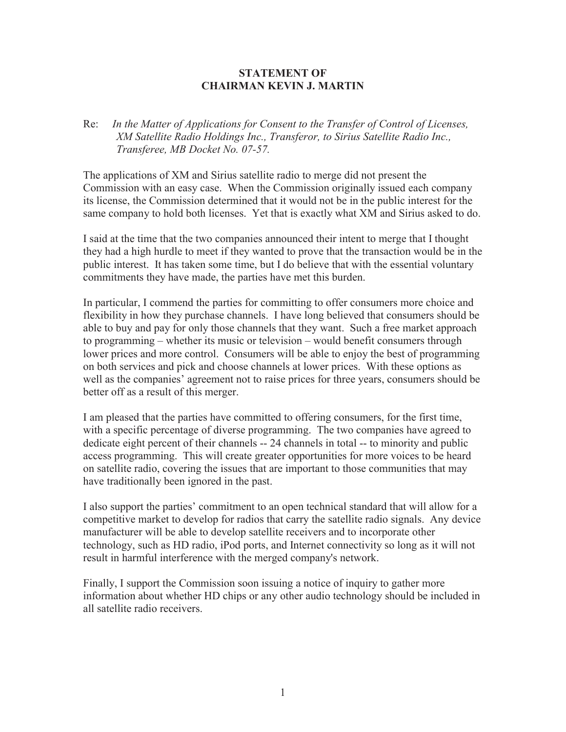## **STATEMENT OF CHAIRMAN KEVIN J. MARTIN**

## Re: *In the Matter of Applications for Consent to the Transfer of Control of Licenses, XM Satellite Radio Holdings Inc., Transferor, to Sirius Satellite Radio Inc., Transferee, MB Docket No. 07-57.*

The applications of XM and Sirius satellite radio to merge did not present the Commission with an easy case. When the Commission originally issued each company its license, the Commission determined that it would not be in the public interest for the same company to hold both licenses. Yet that is exactly what XM and Sirius asked to do.

I said at the time that the two companies announced their intent to merge that I thought they had a high hurdle to meet if they wanted to prove that the transaction would be in the public interest. It has taken some time, but I do believe that with the essential voluntary commitments they have made, the parties have met this burden.

In particular, I commend the parties for committing to offer consumers more choice and flexibility in how they purchase channels. I have long believed that consumers should be able to buy and pay for only those channels that they want. Such a free market approach to programming – whether its music or television – would benefit consumers through lower prices and more control. Consumers will be able to enjoy the best of programming on both services and pick and choose channels at lower prices. With these options as well as the companies' agreement not to raise prices for three years, consumers should be better off as a result of this merger.

I am pleased that the parties have committed to offering consumers, for the first time, with a specific percentage of diverse programming. The two companies have agreed to dedicate eight percent of their channels -- 24 channels in total -- to minority and public access programming. This will create greater opportunities for more voices to be heard on satellite radio, covering the issues that are important to those communities that may have traditionally been ignored in the past.

I also support the parties' commitment to an open technical standard that will allow for a competitive market to develop for radios that carry the satellite radio signals. Any device manufacturer will be able to develop satellite receivers and to incorporate other technology, such as HD radio, iPod ports, and Internet connectivity so long as it will not result in harmful interference with the merged company's network.

Finally, I support the Commission soon issuing a notice of inquiry to gather more information about whether HD chips or any other audio technology should be included in all satellite radio receivers.